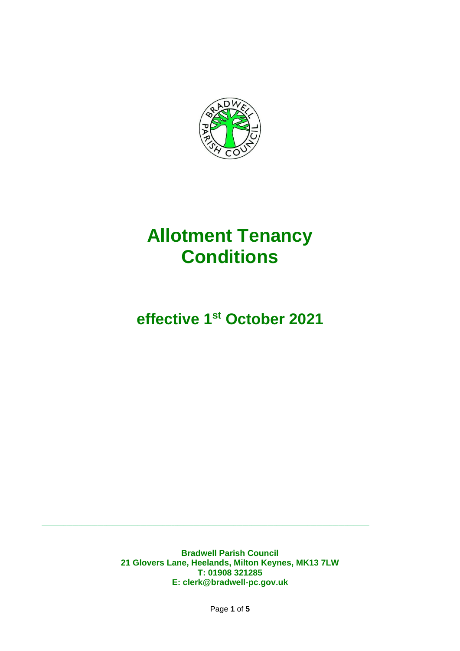

# **Allotment Tenancy Conditions**

# **effective 1st October 2021**

**Bradwell Parish Council 21 Glovers Lane, Heelands, Milton Keynes, MK13 7LW T: 01908 321285 E: clerk@bradwell-pc.gov.uk**

 $\_$  , and the set of the set of the set of the set of the set of the set of the set of the set of the set of the set of the set of the set of the set of the set of the set of the set of the set of the set of the set of th

Page **1** of **5**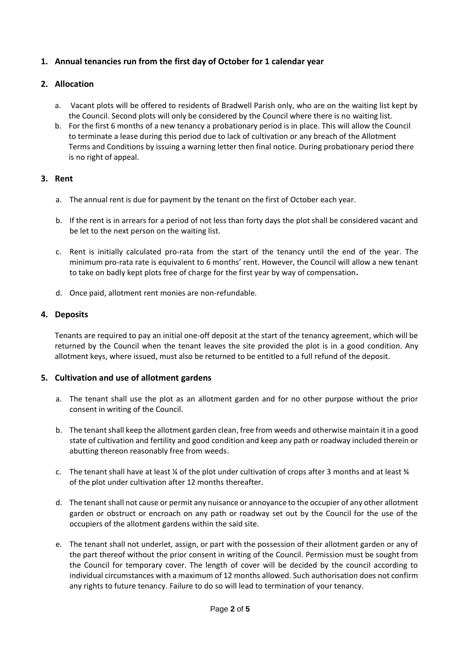# **1. Annual tenancies run from the first day of October for 1 calendar year**

### **2. Allocation**

- a. Vacant plots will be offered to residents of Bradwell Parish only, who are on the waiting list kept by the Council. Second plots will only be considered by the Council where there is no waiting list.
- b. For the first 6 months of a new tenancy a probationary period is in place. This will allow the Council to terminate a lease during this period due to lack of cultivation or any breach of the Allotment Terms and Conditions by issuing a warning letter then final notice. During probationary period there is no right of appeal.

# **3. Rent**

- a. The annual rent is due for payment by the tenant on the first of October each year.
- b. If the rent is in arrears for a period of not less than forty days the plot shall be considered vacant and be let to the next person on the waiting list.
- c. Rent is initially calculated pro-rata from the start of the tenancy until the end of the year. The minimum pro-rata rate is equivalent to 6 months' rent. However, the Council will allow a new tenant to take on badly kept plots free of charge for the first year by way of compensation**.**
- d. Once paid, allotment rent monies are non-refundable.

# **4. Deposits**

Tenants are required to pay an initial one-off deposit at the start of the tenancy agreement, which will be returned by the Council when the tenant leaves the site provided the plot is in a good condition. Any allotment keys, where issued, must also be returned to be entitled to a full refund of the deposit.

#### **5. Cultivation and use of allotment gardens**

- a. The tenant shall use the plot as an allotment garden and for no other purpose without the prior consent in writing of the Council.
- b. The tenantshall keep the allotment garden clean, free from weeds and otherwise maintain it in a good state of cultivation and fertility and good condition and keep any path or roadway included therein or abutting thereon reasonably free from weeds.
- c. The tenant shall have at least  $\frac{1}{4}$  of the plot under cultivation of crops after 3 months and at least  $\frac{1}{4}$ of the plot under cultivation after 12 months thereafter.
- d. The tenant shall not cause or permit any nuisance or annoyance to the occupier of any other allotment garden or obstruct or encroach on any path or roadway set out by the Council for the use of the occupiers of the allotment gardens within the said site.
- e. The tenant shall not underlet, assign, or part with the possession of their allotment garden or any of the part thereof without the prior consent in writing of the Council. Permission must be sought from the Council for temporary cover. The length of cover will be decided by the council according to individual circumstances with a maximum of 12 months allowed. Such authorisation does not confirm any rights to future tenancy. Failure to do so will lead to termination of your tenancy.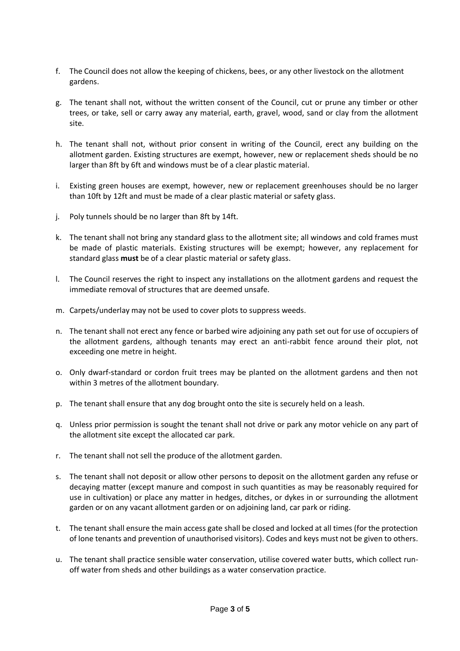- f. The Council does not allow the keeping of chickens, bees, or any other livestock on the allotment gardens.
- g. The tenant shall not, without the written consent of the Council, cut or prune any timber or other trees, or take, sell or carry away any material, earth, gravel, wood, sand or clay from the allotment site.
- h. The tenant shall not, without prior consent in writing of the Council, erect any building on the allotment garden. Existing structures are exempt, however, new or replacement sheds should be no larger than 8ft by 6ft and windows must be of a clear plastic material.
- i. Existing green houses are exempt, however, new or replacement greenhouses should be no larger than 10ft by 12ft and must be made of a clear plastic material or safety glass.
- j. Poly tunnels should be no larger than 8ft by 14ft.
- k. The tenant shall not bring any standard glass to the allotment site; all windows and cold frames must be made of plastic materials. Existing structures will be exempt; however, any replacement for standard glass **must** be of a clear plastic material or safety glass.
- l. The Council reserves the right to inspect any installations on the allotment gardens and request the immediate removal of structures that are deemed unsafe.
- m. Carpets/underlay may not be used to cover plots to suppress weeds.
- n. The tenant shall not erect any fence or barbed wire adjoining any path set out for use of occupiers of the allotment gardens, although tenants may erect an anti-rabbit fence around their plot, not exceeding one metre in height.
- o. Only dwarf-standard or cordon fruit trees may be planted on the allotment gardens and then not within 3 metres of the allotment boundary.
- p. The tenant shall ensure that any dog brought onto the site is securely held on a leash.
- q. Unless prior permission is sought the tenant shall not drive or park any motor vehicle on any part of the allotment site except the allocated car park.
- r. The tenant shall not sell the produce of the allotment garden.
- s. The tenant shall not deposit or allow other persons to deposit on the allotment garden any refuse or decaying matter (except manure and compost in such quantities as may be reasonably required for use in cultivation) or place any matter in hedges, ditches, or dykes in or surrounding the allotment garden or on any vacant allotment garden or on adjoining land, car park or riding.
- t. The tenant shall ensure the main access gate shall be closed and locked at all times (for the protection of lone tenants and prevention of unauthorised visitors). Codes and keys must not be given to others.
- u. The tenant shall practice sensible water conservation, utilise covered water butts, which collect runoff water from sheds and other buildings as a water conservation practice.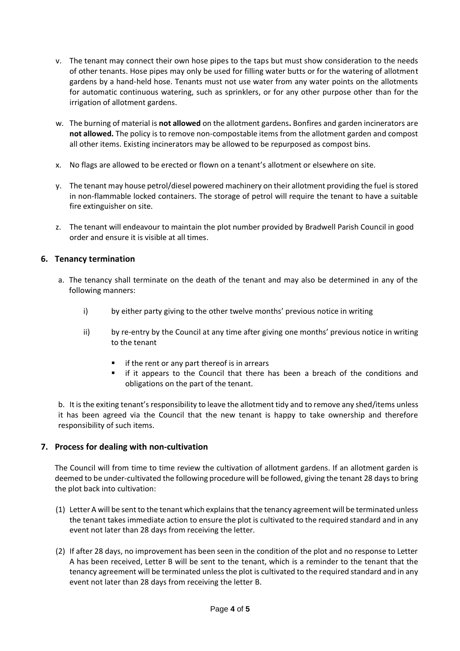- v. The tenant may connect their own hose pipes to the taps but must show consideration to the needs of other tenants. Hose pipes may only be used for filling water butts or for the watering of allotment gardens by a hand-held hose. Tenants must not use water from any water points on the allotments for automatic continuous watering, such as sprinklers, or for any other purpose other than for the irrigation of allotment gardens.
- w. The burning of material is **not allowed** on the allotment gardens**.** Bonfires and garden incinerators are **not allowed.** The policy is to remove non-compostable items from the allotment garden and compost all other items. Existing incinerators may be allowed to be repurposed as compost bins.
- x. No flags are allowed to be erected or flown on a tenant's allotment or elsewhere on site.
- y. The tenant may house petrol/diesel powered machinery on their allotment providing the fuel is stored in non-flammable locked containers. The storage of petrol will require the tenant to have a suitable fire extinguisher on site.
- z. The tenant will endeavour to maintain the plot number provided by Bradwell Parish Council in good order and ensure it is visible at all times.

# **6. Tenancy termination**

- a. The tenancy shall terminate on the death of the tenant and may also be determined in any of the following manners:
	- i) by either party giving to the other twelve months' previous notice in writing
	- ii) by re-entry by the Council at any time after giving one months' previous notice in writing to the tenant
		- if the rent or any part thereof is in arrears
		- if it appears to the Council that there has been a breach of the conditions and obligations on the part of the tenant.

b. It is the exiting tenant's responsibility to leave the allotment tidy and to remove any shed/items unless it has been agreed via the Council that the new tenant is happy to take ownership and therefore responsibility of such items.

# **7. Process for dealing with non-cultivation**

The Council will from time to time review the cultivation of allotment gardens. If an allotment garden is deemed to be under-cultivated the following procedure will be followed, giving the tenant 28 days to bring the plot back into cultivation:

- (1) Letter A will be sent to the tenant which explains that the tenancy agreement will be terminated unless the tenant takes immediate action to ensure the plot is cultivated to the required standard and in any event not later than 28 days from receiving the letter.
- (2) If after 28 days, no improvement has been seen in the condition of the plot and no response to Letter A has been received, Letter B will be sent to the tenant, which is a reminder to the tenant that the tenancy agreement will be terminated unless the plot is cultivated to the required standard and in any event not later than 28 days from receiving the letter B.